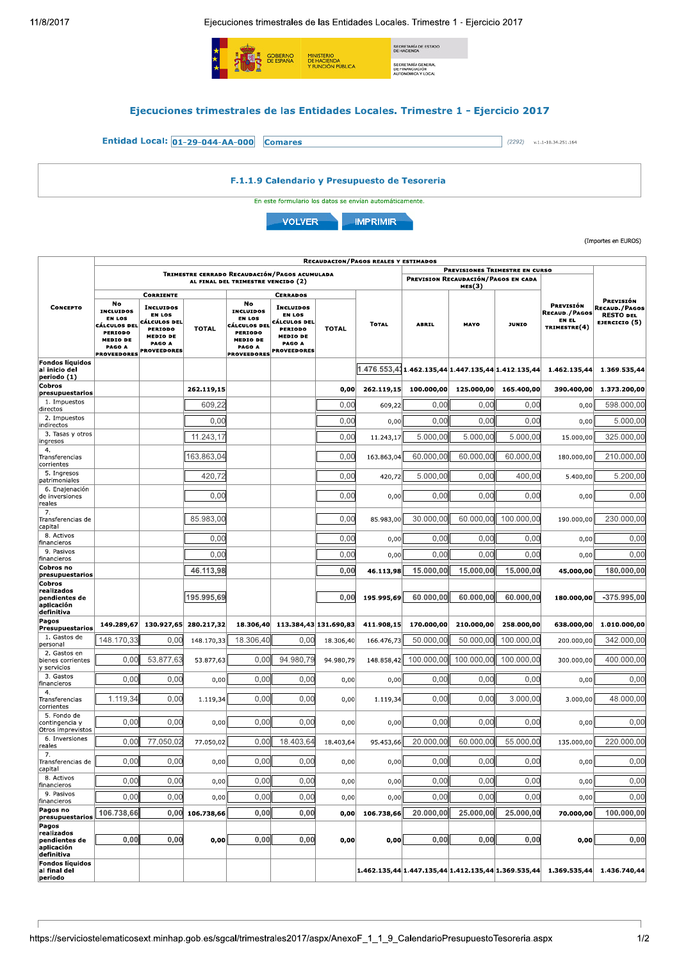$\overline{1}$ 

Ejecuciones trimestrales de las Entidades Locales. Trimestre 1 - Ejercicio 2017



(Importes en EUROS)

|                                                                   | <b>RECAUDACION/PAGOS REALES Y ESTIMADOS</b>                                                                                  |                                                                                                                                            |              |                                                                                                                              |                                                                                                                                    |              |                                                                                 |                                                      |                                                    |              |                                                            |                                                                        |
|-------------------------------------------------------------------|------------------------------------------------------------------------------------------------------------------------------|--------------------------------------------------------------------------------------------------------------------------------------------|--------------|------------------------------------------------------------------------------------------------------------------------------|------------------------------------------------------------------------------------------------------------------------------------|--------------|---------------------------------------------------------------------------------|------------------------------------------------------|----------------------------------------------------|--------------|------------------------------------------------------------|------------------------------------------------------------------------|
|                                                                   | TRIMESTRE CERRADO RECAUDACIÓN/PAGOS ACUMULADA                                                                                |                                                                                                                                            |              |                                                                                                                              |                                                                                                                                    |              |                                                                                 | PREVISIONES TRIMESTRE EN CURSO                       |                                                    |              |                                                            |                                                                        |
|                                                                   | AL FINAL DEL TRIMESTRE VENCIDO (2)                                                                                           |                                                                                                                                            |              |                                                                                                                              |                                                                                                                                    |              |                                                                                 | PREVISION RECAUDACIÓN/PAGOS EN CADA<br><b>MES(3)</b> |                                                    |              |                                                            |                                                                        |
| <b>CONCEPTO</b>                                                   | No<br><b>INCLUIDOS</b><br><b>EN LOS</b><br>CÁLCULOS DEL<br><b>PERIODO</b><br><b>MEDIO DE</b><br>PAGO A<br><b>PROVEEDORES</b> | <b>CORRIENTE</b><br><b>INCLUIDOS</b><br><b>EN LOS</b><br>CÁLCULOS DEL<br><b>PERIODO</b><br><b>MEDIO DE</b><br>PAGO A<br><b>PROVEEDORES</b> | <b>TOTAL</b> | No<br><b>INCLUIDOS</b><br><b>EN LOS</b><br>CÁLCULOS DEL<br><b>PERIODO</b><br><b>MEDIO DE</b><br>PAGO A<br><b>PROVEEDORES</b> | <b>CERRADOS</b><br><b>INCLUIDOS</b><br><b>EN LOS</b><br>CÁLCULOS DEL<br>PERIODO<br><b>MEDIO DE</b><br>PAGO A<br><b>PROVEEDORES</b> | <b>TOTAL</b> | <b>TOTAL</b>                                                                    | <b>ABRIL</b>                                         | MAYO                                               | <b>JUNIO</b> | PREVISIÓN<br><b>RECAUD./PAGOS</b><br>EN EL<br>TRIMESTRE(4) | PREVISIÓN<br><b>RECAUD./PAGOS</b><br><b>RESTO DEL</b><br>EJERCICIO (5) |
| <b>Fondos líquidos</b><br>al inicio del                           |                                                                                                                              |                                                                                                                                            |              |                                                                                                                              |                                                                                                                                    |              |                                                                                 |                                                      | 1.476.553,431.462.135,44 1.447.135,44 1.412.135,44 |              | 1.462.135.44                                               |                                                                        |
| periodo (1)                                                       |                                                                                                                              |                                                                                                                                            |              |                                                                                                                              |                                                                                                                                    |              |                                                                                 |                                                      |                                                    |              |                                                            | 1.369.535,44                                                           |
| Cobros<br>presupuestarios                                         |                                                                                                                              |                                                                                                                                            | 262.119,15   |                                                                                                                              |                                                                                                                                    | 0,00         | 262.119,15                                                                      | 100.000,00                                           | 125.000,00                                         | 165.400,00   | 390.400,00                                                 | 1.373.200,00                                                           |
| 1. Impuestos<br>directos                                          |                                                                                                                              |                                                                                                                                            | 609,22       |                                                                                                                              |                                                                                                                                    | 0,00         | 609,22                                                                          | 0,00                                                 | 0,00                                               | 0.00         | 0,00                                                       | 598,000.00                                                             |
| 2. Impuestos<br>indirectos                                        |                                                                                                                              |                                                                                                                                            | 0,00         |                                                                                                                              |                                                                                                                                    | 0,00         | 0,00                                                                            | 0,00                                                 | 0,00                                               | 0,00         | 0,00                                                       | 5.000,00                                                               |
| 3. Tasas y otros<br>ingresos                                      |                                                                                                                              |                                                                                                                                            | 11.243,17    |                                                                                                                              |                                                                                                                                    | 0,00         | 11.243,17                                                                       | 5.000,00                                             | 5.000,00                                           | 5.000,00     | 15.000,00                                                  | 325.000,00                                                             |
| 4.<br>Transferencias<br>corrientes                                |                                                                                                                              |                                                                                                                                            | 163.863,04   |                                                                                                                              |                                                                                                                                    | 0.00         | 163.863,04                                                                      | 60,000,00                                            | 60.000,00                                          | 60.000.00    | 180.000,00                                                 | 210.000,00                                                             |
| 5. Ingresos<br>patrimoniales                                      |                                                                                                                              |                                                                                                                                            | 420,72       |                                                                                                                              |                                                                                                                                    | 0,00         | 420,72                                                                          | 5.000,00                                             | 0.00                                               | 400,00       | 5.400,00                                                   | 5.200,00                                                               |
| 6. Enajenación<br>de inversiones<br>reales                        |                                                                                                                              |                                                                                                                                            | 0,00         |                                                                                                                              |                                                                                                                                    | 0.00         | 0,00                                                                            | 0.00                                                 | 0.00                                               | 0.00         | 0,00                                                       | 0.00                                                                   |
| 7.<br>Transferencias de<br>capital                                |                                                                                                                              |                                                                                                                                            | 85.983.00    |                                                                                                                              |                                                                                                                                    | 0,00         | 85.983,00                                                                       | 30.000,00                                            | 60.000.00                                          | 100.000,00   | 190.000,00                                                 | 230.000,00                                                             |
| 8. Activos<br>financieros                                         |                                                                                                                              |                                                                                                                                            | 0,00         |                                                                                                                              |                                                                                                                                    | 0.00         | 0,00                                                                            | 0.00                                                 | 0.00                                               | 0.00         | 0,00                                                       | 0.00                                                                   |
| 9. Pasivos<br>financieros                                         |                                                                                                                              |                                                                                                                                            | 0,00         |                                                                                                                              |                                                                                                                                    | 0,00         | 0,00                                                                            | 0,00                                                 | 0,00                                               | 0,00         | 0,00                                                       | 0,00                                                                   |
| Cobros no<br>presupuestarios                                      |                                                                                                                              |                                                                                                                                            | 46.113,98    |                                                                                                                              |                                                                                                                                    | 0,00         | 46.113.98                                                                       | 15.000,00                                            | 15.000.00                                          | 15.000,00    | 45.000,00                                                  | 180.000,00                                                             |
| Cobros<br>realizados<br>pendientes de<br>aplicación<br>definitiva |                                                                                                                              |                                                                                                                                            | 195.995,69   |                                                                                                                              |                                                                                                                                    | 0,00         | 195.995,69                                                                      | 60.000,00                                            | 60.000,00                                          | 60.000,00    | 180.000,00                                                 | $-375.995,00$                                                          |
| Pagos<br>Presupuestarios                                          | 149.289,67                                                                                                                   | 130.927,65                                                                                                                                 | 280.217,32   | 18.306,40                                                                                                                    | 113.384,43 131.690,83                                                                                                              |              | 411.908,15                                                                      | 170.000,00                                           | 210.000,00                                         | 258.000,00   | 638.000,00                                                 | 1.010.000,00                                                           |
| 1. Gastos de<br>personal                                          | 148.170,33                                                                                                                   | 0,00                                                                                                                                       | 148.170,33   | 18.306,40                                                                                                                    | 0,00                                                                                                                               | 18.306,40    | 166.476,73                                                                      | 50.000,00                                            | 50.000,00                                          | 100.000,00   | 200.000,00                                                 | 342.000,00                                                             |
| 2. Gastos en<br>bienes corrientes<br>y servicios                  | 0,00                                                                                                                         | 53.877,63                                                                                                                                  | 53.877,63    | 0,00                                                                                                                         | 94.980,79                                                                                                                          | 94.980,79    | 148.858,42                                                                      | 100.000,00                                           | 100.000,00                                         | 100.000,00   | 300.000,00                                                 | 400.000,00                                                             |
| 3. Gastos<br>financieros                                          | 0.00                                                                                                                         | 0,00                                                                                                                                       | 0,00         | 0,00                                                                                                                         | 0,00                                                                                                                               | 0,00         | 0,00                                                                            | 0,00                                                 | 0.00                                               | 0.00         | 0,00                                                       | 0,00                                                                   |
| 4.<br>Transferencias<br>corrientes                                | 1.119,34                                                                                                                     | 0,00                                                                                                                                       | 1.119,34     | 0.00                                                                                                                         | 0.00                                                                                                                               | 0,00         | 1.119,34                                                                        | 0.00                                                 | 0.00                                               | 3.000,00     | 3.000,00                                                   | 48.000.00                                                              |
| 5. Fondo de<br>contingencia y<br>Otros imprevistos                | 0.00                                                                                                                         | 0,00                                                                                                                                       | 0,00         | 0,00                                                                                                                         | 0,00                                                                                                                               | 0,00         | 0,00                                                                            | 0.00                                                 | 0.00                                               | 0,00         | 0,00                                                       | 0,00                                                                   |
| 6. Inversiones<br>reales                                          | 0.00                                                                                                                         | 77.050,02                                                                                                                                  | 77.050,02    | 0.00                                                                                                                         | 18.403,64                                                                                                                          | 18.403,64    | 95.453,66                                                                       | 20.000,00                                            | 60.000,00                                          | 55.000,00    | 135.000,00                                                 | 220.000,00                                                             |
| 7.<br>Transferencias de<br>capital                                | 0.00                                                                                                                         | 0.00                                                                                                                                       | 0,00         | 0.00                                                                                                                         | 0.00                                                                                                                               | 0,00         | 0,00                                                                            | 0.00                                                 | 0.00                                               | 0.00         | 0,00                                                       | 0.00                                                                   |
| 8. Activos<br>financieros                                         | 0,00                                                                                                                         | 0,00                                                                                                                                       | 0,00         | 0,00                                                                                                                         | 0,00                                                                                                                               | 0,00         | 0,00                                                                            | 0,00                                                 | 0,00                                               | 0,00         | 0,00                                                       | 0,00                                                                   |
| 9. Pasivos<br>financieros                                         | 0,00                                                                                                                         | 0,00                                                                                                                                       | 0,00         | 0,00                                                                                                                         | 0,00                                                                                                                               | 0,00         | 0,00                                                                            | 0,00                                                 | 0,00                                               | 0,00         | 0,00                                                       | 0,00                                                                   |
| Pagos no<br>presupuestarios                                       | 106.738,66                                                                                                                   | 0,00                                                                                                                                       | 106.738,66   | 0,00                                                                                                                         | 0,00                                                                                                                               | 0,00         | 106.738,66                                                                      | 20.000,00                                            | 25.000,00                                          | 25.000,00    | 70.000,00                                                  | 100.000,00                                                             |
| Pagos<br>realizados                                               | 0,00                                                                                                                         | 0,00                                                                                                                                       |              | 0,00                                                                                                                         | 0,00                                                                                                                               |              |                                                                                 | 0,00                                                 | 0,00                                               | 0,00         |                                                            | 0,00                                                                   |
| pendientes de<br>aplicación<br>definitiva                         |                                                                                                                              |                                                                                                                                            | 0,00         |                                                                                                                              |                                                                                                                                    | 0,00         | 0,00                                                                            |                                                      |                                                    |              | 0,00                                                       |                                                                        |
| <b>Fondos líquidos</b><br>al final del<br>periodo                 |                                                                                                                              |                                                                                                                                            |              |                                                                                                                              |                                                                                                                                    |              | $\vert 1.462.135,44\vert 1.447.135,44\vert 1.412.135,44\vert 1.369.535,44\vert$ |                                                      |                                                    |              | 1.369.535,44                                               | 1.436.740,44                                                           |